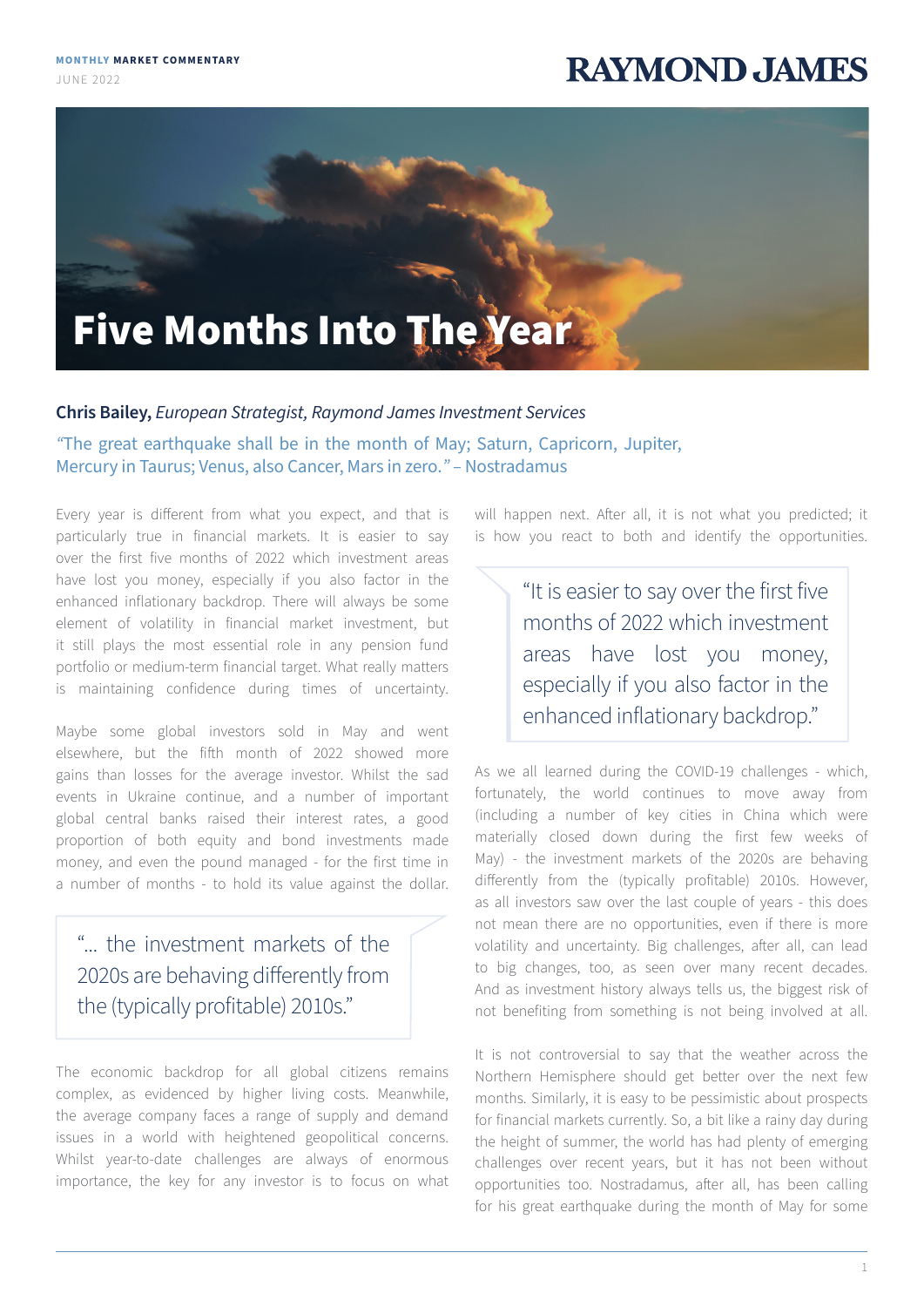JUNE 2022

## **RAYMOND, JAMES**



## **Chris Bailey,** *European Strategist, Raymond James Investment Services*

*"*The great earthquake shall be in the month of May; Saturn, Capricorn, Jupiter, Mercury in Taurus; Venus, also Cancer, Mars in zero.*" –* Nostradamus

Every year is different from what you expect, and that is particularly true in financial markets. It is easier to say over the first five months of 2022 which investment areas have lost you money, especially if you also factor in the enhanced inflationary backdrop. There will always be some element of volatility in financial market investment, but it still plays the most essential role in any pension fund portfolio or medium-term financial target. What really matters is maintaining confidence during times of uncertainty.

Maybe some global investors sold in May and went elsewhere, but the fifth month of 2022 showed more gains than losses for the average investor. Whilst the sad events in Ukraine continue, and a number of important global central banks raised their interest rates, a good proportion of both equity and bond investments made money, and even the pound managed - for the first time in a number of months - to hold its value against the dollar.

## "... the investment markets of the 2020s are behaving differently from the (typically profitable) 2010s."

The economic backdrop for all global citizens remains complex, as evidenced by higher living costs. Meanwhile, the average company faces a range of supply and demand issues in a world with heightened geopolitical concerns. Whilst year-to-date challenges are always of enormous importance, the key for any investor is to focus on what

will happen next. After all, it is not what you predicted; it is how you react to both and identify the opportunities.

> "It is easier to say over the first five months of 2022 which investment areas have lost you money, especially if you also factor in the enhanced inflationary backdrop."

As we all learned during the COVID-19 challenges - which, fortunately, the world continues to move away from (including a number of key cities in China which were materially closed down during the first few weeks of May) - the investment markets of the 2020s are behaving differently from the (typically profitable) 2010s. However, as all investors saw over the last couple of years - this does not mean there are no opportunities, even if there is more volatility and uncertainty. Big challenges, after all, can lead to big changes, too, as seen over many recent decades. And as investment history always tells us, the biggest risk of not benefiting from something is not being involved at all.

It is not controversial to say that the weather across the Northern Hemisphere should get better over the next few months. Similarly, it is easy to be pessimistic about prospects for financial markets currently. So, a bit like a rainy day during the height of summer, the world has had plenty of emerging challenges over recent years, but it has not been without opportunities too. Nostradamus, after all, has been calling for his great earthquake during the month of May for some